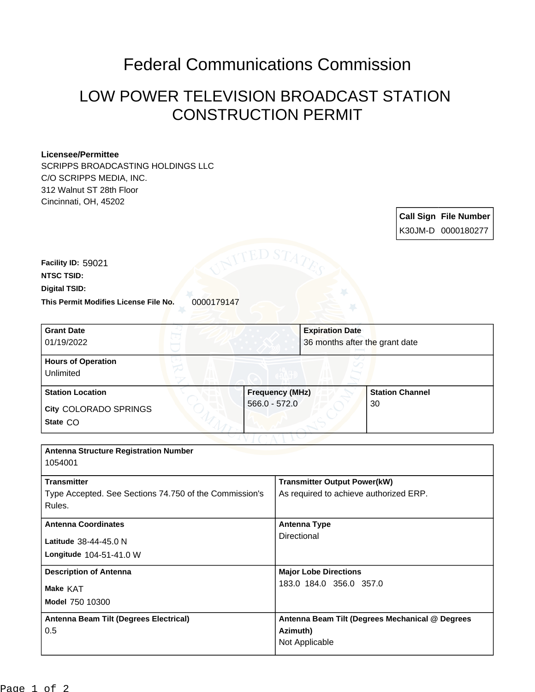## Federal Communications Commission

## LOW POWER TELEVISION BROADCAST STATION CONSTRUCTION PERMIT

## **Licensee/Permittee**

SCRIPPS BROADCASTING HOLDINGS LLC C/O SCRIPPS MEDIA, INC. 312 Walnut ST 28th Floor Cincinnati, OH, 45202

> **Call Sign File Number** K30JM-D 0000180277

This Permit Modifies License File No. 0000179147 **Digital TSID: NTSC TSID: Facility ID:** 59021

| <b>Grant Date</b>                                     | <b>Expiration Date</b>              |                                       |  |
|-------------------------------------------------------|-------------------------------------|---------------------------------------|--|
| 01/19/2022                                            |                                     | 36 months after the grant date        |  |
| <b>Hours of Operation</b><br>Unlimited                |                                     |                                       |  |
| <b>Station Location</b>                               | <b>Frequency (MHz)</b>              | <b>Station Channel</b>                |  |
| <b>City COLORADO SPRINGS</b>                          | $566.0 - 572.0$                     | 30                                    |  |
| State CO                                              |                                     |                                       |  |
|                                                       |                                     |                                       |  |
| <b>Antenna Structure Registration Number</b>          |                                     |                                       |  |
| 1054001                                               |                                     |                                       |  |
| <b>Transmitter</b>                                    | <b>Transmitter Output Power(kW)</b> |                                       |  |
| Type Accorted Cas Costiano 74,750 of the Commissionic |                                     | As required to sobjeve outhorized EDD |  |

| Type Accepted. See Sections 74.750 of the Commission's<br>Rules. | As required to achieve authorized ERP.          |
|------------------------------------------------------------------|-------------------------------------------------|
| <b>Antenna Coordinates</b>                                       | <b>Antenna Type</b>                             |
| Latitude 38-44-45.0 N<br>Longitude 104-51-41.0 W                 | Directional                                     |
| <b>Description of Antenna</b>                                    | <b>Major Lobe Directions</b>                    |
| <b>Make KAT</b><br><b>Model 750 10300</b>                        | 183.0 184.0 356.0 357.0                         |
| Antenna Beam Tilt (Degrees Electrical)                           | Antenna Beam Tilt (Degrees Mechanical @ Degrees |
| 0.5                                                              | Azimuth)                                        |
|                                                                  | Not Applicable                                  |